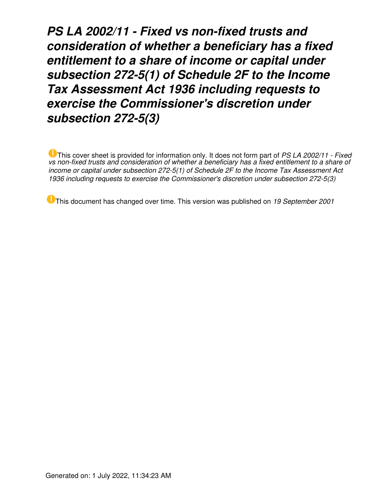*PS LA 2002/11 - Fixed vs non-fixed trusts and consideration of whether a beneficiary has a fixed entitlement to a share of income or capital under subsection 272-5(1) of Schedule 2F to the Income Tax Assessment Act 1936 including requests to exercise the Commissioner's discretion under subsection 272-5(3)*

This cover sheet is provided for information only. It does not form part of *PS LA 2002/11 - Fixed vs non-fixed trusts and consideration of whether a beneficiary has a fixed entitlement to a share of income or capital under subsection 272-5(1) of Schedule 2F to the Income Tax Assessment Act 1936 including requests to exercise the Commissioner's discretion under subsection 272-5(3)*

This document has changed over time. This version was published on *19 September 2001*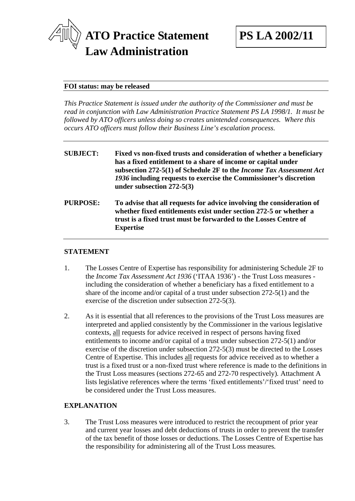

#### **FOI status: may be released**

*This Practice Statement is issued under the authority of the Commissioner and must be read in conjunction with Law Administration Practice Statement PS LA 1998/1. It must be followed by ATO officers unless doing so creates unintended consequences. Where this occurs ATO officers must follow their Business Line's escalation process.* 

| <b>SUBJECT:</b> | Fixed vs non-fixed trusts and consideration of whether a beneficiary<br>has a fixed entitlement to a share of income or capital under<br>subsection 272-5(1) of Schedule 2F to the <i>Income Tax Assessment Act</i><br>1936 including requests to exercise the Commissioner's discretion<br>under subsection $272-5(3)$ |
|-----------------|-------------------------------------------------------------------------------------------------------------------------------------------------------------------------------------------------------------------------------------------------------------------------------------------------------------------------|
| <b>PURPOSE:</b> | To advise that all requests for advice involving the consideration of<br>whether fixed entitlements exist under section 272-5 or whether a<br>trust is a fixed trust must be forwarded to the Losses Centre of<br><b>Expertise</b>                                                                                      |

### **STATEMENT**

- 1. The Losses Centre of Expertise has responsibility for administering Schedule 2F to the *Income Tax Assessment Act 1936* ('ITAA 1936') - the Trust Loss measures including the consideration of whether a beneficiary has a fixed entitlement to a share of the income and/or capital of a trust under subsection 272-5(1) and the exercise of the discretion under subsection 272-5(3).
- 2. As it is essential that all references to the provisions of the Trust Loss measures are interpreted and applied consistently by the Commissioner in the various legislative contexts, all requests for advice received in respect of persons having fixed entitlements to income and/or capital of a trust under subsection 272-5(1) and/or exercise of the discretion under subsection 272-5(3) must be directed to the Losses Centre of Expertise. This includes all requests for advice received as to whether a trust is a fixed trust or a non-fixed trust where reference is made to the definitions in the Trust Loss measures (sections 272-65 and 272-70 respectively)*.* Attachment A lists legislative references where the terms 'fixed entitlements'/'fixed trust' need to be considered under the Trust Loss measures.

## **EXPLANATION**

3. The Trust Loss measures were introduced to restrict the recoupment of prior year and current year losses and debt deductions of trusts in order to prevent the transfer of the tax benefit of those losses or deductions. The Losses Centre of Expertise has the responsibility for administering all of the Trust Loss measures*.*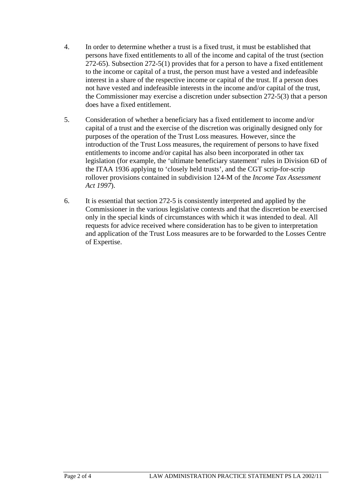- 4. In order to determine whether a trust is a fixed trust, it must be established that persons have fixed entitlements to all of the income and capital of the trust (section 272-65). Subsection 272-5(1) provides that for a person to have a fixed entitlement to the income or capital of a trust, the person must have a vested and indefeasible interest in a share of the respective income or capital of the trust. If a person does not have vested and indefeasible interests in the income and/or capital of the trust, the Commissioner may exercise a discretion under subsection 272-5(3) that a person does have a fixed entitlement.
- 5. Consideration of whether a beneficiary has a fixed entitlement to income and/or capital of a trust and the exercise of the discretion was originally designed only for purposes of the operation of the Trust Loss measures*.* However, since the introduction of the Trust Loss measures, the requirement of persons to have fixed entitlements to income and/or capital has also been incorporated in other tax legislation (for example, the 'ultimate beneficiary statement' rules in Division 6D of the ITAA 1936 applying to 'closely held trusts', and the CGT scrip-for-scrip rollover provisions contained in subdivision 124-M of the *Income Tax Assessment Act 1997*).
- 6. It is essential that section 272-5 is consistently interpreted and applied by the Commissioner in the various legislative contexts and that the discretion be exercised only in the special kinds of circumstances with which it was intended to deal. All requests for advice received where consideration has to be given to interpretation and application of the Trust Loss measures are to be forwarded to the Losses Centre of Expertise.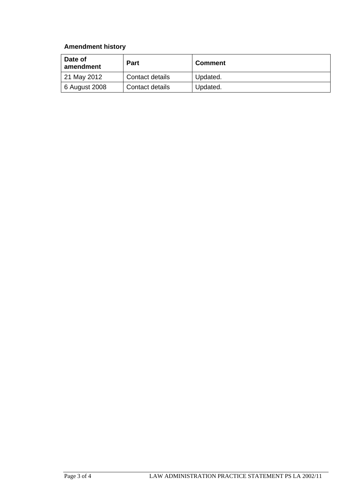# **Amendment history**

| Date of<br>amendment | <b>Part</b>     | <b>Comment</b> |
|----------------------|-----------------|----------------|
| 21 May 2012          | Contact details | Updated.       |
| 6 August 2008        | Contact details | Updated.       |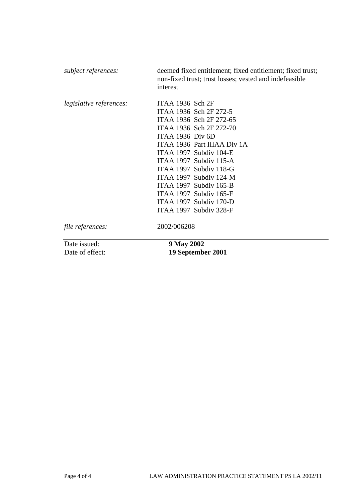| subject references:             | deemed fixed entitlement; fixed entitlement; fixed trust;<br>non-fixed trust; trust losses; vested and indefeasible<br>interest                                                                                                                                                                                                                                                |
|---------------------------------|--------------------------------------------------------------------------------------------------------------------------------------------------------------------------------------------------------------------------------------------------------------------------------------------------------------------------------------------------------------------------------|
| <i>legislative references:</i>  | ITAA 1936 $Sch 2F$<br>ITAA 1936 Sch 2F 272-5<br>ITAA 1936 Sch 2F 272-65<br>ITAA 1936 Sch 2F 272-70<br><b>ITAA 1936 Div 6D</b><br>ITAA 1936 Part IIIAA Div 1A<br>ITAA 1997 Subdiv 104-E<br>ITAA 1997 Subdiv 115-A<br>ITAA 1997 Subdiv 118-G<br>ITAA 1997 Subdiv $124-M$<br>ITAA 1997 Subdiv 165-B<br>ITAA 1997 Subdiv 165-F<br>ITAA 1997 Subdiv 170-D<br>ITAA 1997 Subdiv 328-F |
| file references:                | 2002/006208                                                                                                                                                                                                                                                                                                                                                                    |
| Date issued:<br>Date of effect: | 9 May 2002<br>19 September 2001                                                                                                                                                                                                                                                                                                                                                |